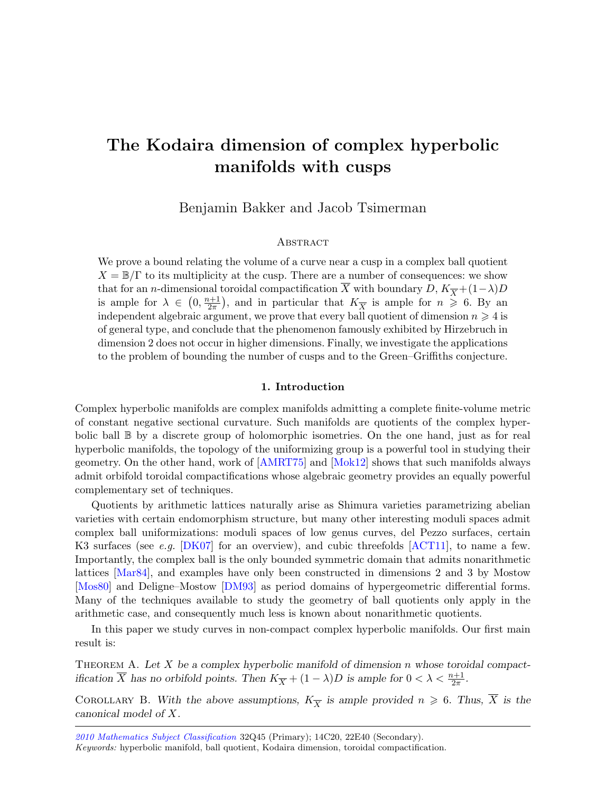# The Kodaira dimension of complex hyperbolic manifolds with cusps

Benjamin Bakker and Jacob Tsimerman

# **ABSTRACT**

We prove a bound relating the volume of a curve near a cusp in a complex ball quotient  $X = \mathbb{B}/\Gamma$  to its multiplicity at the cusp. There are a number of consequences: we show that for an *n*-dimensional toroidal compactification  $\overline{X}$  with boundary D,  $K_{\overline{X}} + (1-\lambda)D$ is ample for  $\lambda \in (0, \frac{n+1}{2\pi})$  $\frac{n+1}{2\pi}$ , and in particular that  $K_{\overline{X}}$  is ample for  $n \geq 6$ . By an independent algebraic argument, we prove that every ball quotient of dimension  $n \geq 4$  is of general type, and conclude that the phenomenon famously exhibited by Hirzebruch in dimension 2 does not occur in higher dimensions. Finally, we investigate the applications to the problem of bounding the number of cusps and to the Green–Griffiths conjecture.

# 1. Introduction

Complex hyperbolic manifolds are complex manifolds admitting a complete finite-volume metric of constant negative sectional curvature. Such manifolds are quotients of the complex hyperbolic ball B by a discrete group of holomorphic isometries. On the one hand, just as for real hyperbolic manifolds, the topology of the uniformizing group is a powerful tool in studying their geometry. On the other hand, work of [\[AMRT75\]](#page-14-0) and [\[Mok12\]](#page-14-1) shows that such manifolds always admit orbifold toroidal compactifications whose algebraic geometry provides an equally powerful complementary set of techniques.

Quotients by arithmetic lattices naturally arise as Shimura varieties parametrizing abelian varieties with certain endomorphism structure, but many other interesting moduli spaces admit complex ball uniformizations: moduli spaces of low genus curves, del Pezzo surfaces, certain K3 surfaces (see e.g.  $[DK07]$  for an overview), and cubic threefolds  $[ACT11]$ , to name a few. Importantly, the complex ball is the only bounded symmetric domain that admits nonarithmetic lattices [\[Mar84\]](#page-14-3), and examples have only been constructed in dimensions 2 and 3 by Mostow [\[Mos80\]](#page-15-0) and Deligne–Mostow [\[DM93\]](#page-14-4) as period domains of hypergeometric differential forms. Many of the techniques available to study the geometry of ball quotients only apply in the arithmetic case, and consequently much less is known about nonarithmetic quotients.

In this paper we study curves in non-compact complex hyperbolic manifolds. Our first main result is:

<span id="page-0-0"></span>THEOREM A. Let  $X$  be a complex hyperbolic manifold of dimension n whose toroidal compactification  $\overline{X}$  has no orbifold points. Then  $K_{\overline{X}} + (1 - \lambda)D$  is ample for  $0 < \lambda < \frac{n+1}{2\pi}$ .

<span id="page-0-1"></span>COROLLARY B. With the above assumptions,  $K_{\overline{X}}$  is ample provided  $n \geq 6$ . Thus,  $\overline{X}$  is the canonical model of X.

[2010 Mathematics Subject Classification](http://www.ams.org/msc/) 32Q45 (Primary); 14C20, 22E40 (Secondary). Keywords: hyperbolic manifold, ball quotient, Kodaira dimension, toroidal compactification.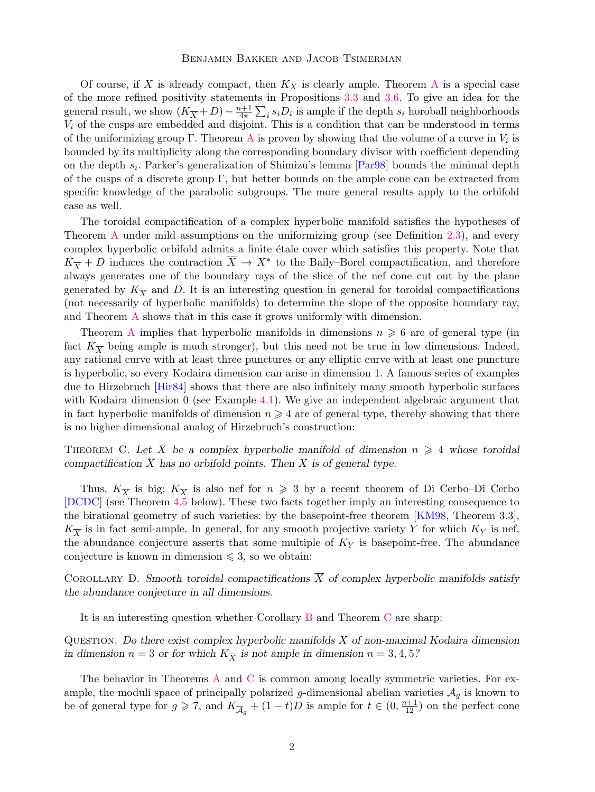Of course, if X is already compact, then  $K_X$  is clearly ample. Theorem [A](#page-0-0) is a special case of the more refined positivity statements in Propositions [3.3](#page-6-0) and [3.6.](#page-8-0) To give an idea for the general result, we show  $(K_{\overline{X}}+D)-\frac{n+1}{4\pi}$  $\frac{i+1}{4\pi} \sum_i s_i D_i$  is ample if the depth  $s_i$  horoball neighborhoods  $V_i$  of the cusps are embedded and disjoint. This is a condition that can be understood in terms of the uniformizing group  $\Gamma$ . Theorem [A](#page-0-0) is proven by showing that the volume of a curve in  $V_i$  is bounded by its multiplicity along the corresponding boundary divisor with coefficient depending on the depth  $s_i$ . Parker's generalization of Shimizu's lemma [\[Par98\]](#page-15-1) bounds the minimal depth of the cusps of a discrete group  $\Gamma$ , but better bounds on the ample cone can be extracted from specific knowledge of the parabolic subgroups. The more general results apply to the orbifold case as well.

The toroidal compactification of a complex hyperbolic manifold satisfies the hypotheses of Theorem [A](#page-0-0) under mild assumptions on the uniformizing group (see Definition [2.3\)](#page-5-0), and every complex hyperbolic orbifold admits a finite étale cover which satisfies this property. Note that  $K_{\overline{X}} + D$  induces the contraction  $\overline{X} \to X^*$  to the Baily–Borel compactification, and therefore always generates one of the boundary rays of the slice of the nef cone cut out by the plane generated by  $K_{\overline{X}}$  and D. It is an interesting question in general for toroidal compactifications (not necessarily of hyperbolic manifolds) to determine the slope of the opposite boundary ray, and Theorem [A](#page-0-0) shows that in this case it grows uniformly with dimension.

Theorem [A](#page-0-0) implies that hyperbolic manifolds in dimensions  $n \geq 6$  are of general type (in fact  $K_{\overline{X}}$  being ample is much stronger), but this need not be true in low dimensions. Indeed, any rational curve with at least three punctures or any elliptic curve with at least one puncture is hyperbolic, so every Kodaira dimension can arise in dimension 1. A famous series of examples due to Hirzebruch [\[Hir84\]](#page-14-5) shows that there are also infinitely many smooth hyperbolic surfaces with Kodaira dimension 0 (see Example [4.1\)](#page-9-0). We give an independent algebraic argument that in fact hyperbolic manifolds of dimension  $n \geq 4$  are of general type, thereby showing that there is no higher-dimensional analog of Hirzebruch's construction:

<span id="page-1-0"></span>THEOREM C. Let X be a complex hyperbolic manifold of dimension  $n \geq 4$  whose toroidal compactification  $\overline{X}$  has no orbifold points. Then X is of general type.

Thus,  $K_{\overline{X}}$  is big;  $K_{\overline{X}}$  is also nef for  $n \geq 3$  by a recent theorem of Di Cerbo–Di Cerbo [\[DCDC\]](#page-14-6) (see Theorem [4.5](#page-10-0) below). These two facts together imply an interesting consequence to the birational geometry of such varieties: by the basepoint-free theorem [\[KM98,](#page-14-7) Theorem 3.3],  $K_{\overline{X}}$  is in fact semi-ample. In general, for any smooth projective variety Y for which  $K_Y$  is nef, the abundance conjecture asserts that some multiple of  $K_Y$  is basepoint-free. The abundance conjecture is known in dimension  $\leq 3$ , so we obtain:

COROLLARY D. Smooth toroidal compactifications  $\overline{X}$  of complex hyperbolic manifolds satisfy the abundance conjecture in all dimensions.

It is an interesting question whether Corollary [B](#page-0-1) and Theorem [C](#page-1-0) are sharp:

QUESTION. Do there exist complex hyperbolic manifolds  $X$  of non-maximal Kodaira dimension in dimension  $n = 3$  or for which  $K_{\overline{X}}$  is not ample in dimension  $n = 3, 4, 5$ ?

The behavior in Theorems [A](#page-0-0) and [C](#page-1-0) is common among locally symmetric varieties. For example, the moduli space of principally polarized g-dimensional abelian varieties  $A_g$  is known to be of general type for  $g \ge 7$ , and  $K_{\overline{\mathcal{A}}_g} + (1-t)D$  is ample for  $t \in (0, \frac{n+1}{12})$  on the perfect cone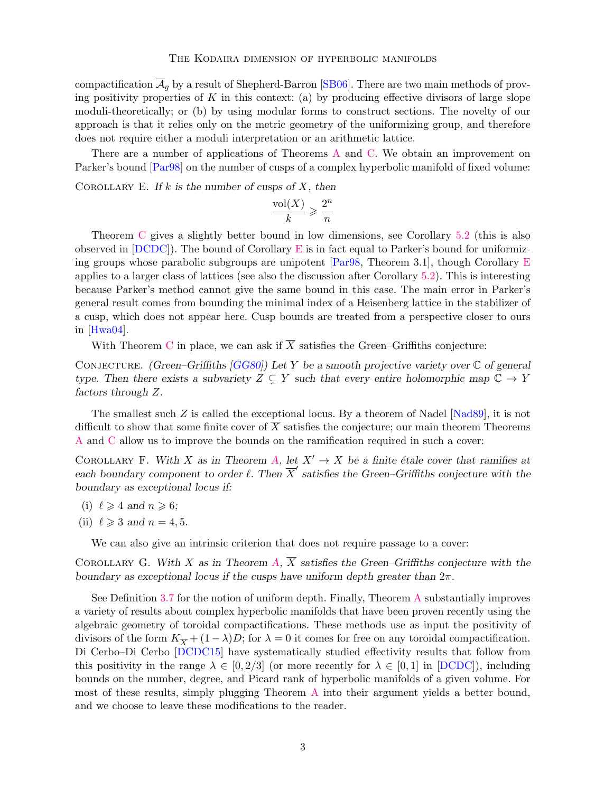compactification  $\overline{\mathcal{A}}_q$  by a result of Shepherd-Barron [\[SB06\]](#page-15-2). There are two main methods of proving positivity properties of K in this context: (a) by producing effective divisors of large slope moduli-theoretically; or (b) by using modular forms to construct sections. The novelty of our approach is that it relies only on the metric geometry of the uniformizing group, and therefore does not require either a moduli interpretation or an arithmetic lattice.

There are a number of applications of Theorems [A](#page-0-0) and [C.](#page-1-0) We obtain an improvement on Parker's bound [\[Par98\]](#page-15-1) on the number of cusps of a complex hyperbolic manifold of fixed volume:

<span id="page-2-0"></span>COROLLARY E. If  $k$  is the number of cusps of  $X$ , then

$$
\frac{\text{vol}(X)}{k} \geqslant \frac{2^n}{n}
$$

Theorem [C](#page-1-0) gives a slightly better bound in low dimensions, see Corollary [5.2](#page-13-1) (this is also observed in  $[DCDC]$ ). The bound of Corollary [E](#page-2-0) is in fact equal to Parker's bound for uniformizing groups whose parabolic subgroups are unipotent [\[Par98,](#page-15-1) Theorem 3.1], though Corollary [E](#page-2-0) applies to a larger class of lattices (see also the discussion after Corollary [5.2\)](#page-13-1). This is interesting because Parker's method cannot give the same bound in this case. The main error in Parker's general result comes from bounding the minimal index of a Heisenberg lattice in the stabilizer of a cusp, which does not appear here. Cusp bounds are treated from a perspective closer to ours in [\[Hwa04\]](#page-14-8).

With Theorem [C](#page-1-0) in place, we can ask if  $\overline{X}$  satisfies the Green–Griffiths conjecture:

CONJECTURE. (Green–Griffiths  $[GGS0]$ ) Let Y be a smooth projective variety over  $\mathbb C$  of general type. Then there exists a subvariety  $Z \subsetneq Y$  such that every entire holomorphic map  $\mathbb{C} \to Y$ factors through Z.

The smallest such Z is called the exceptional locus. By a theorem of Nadel  $[Nad89]$ , it is not difficult to show that some finite cover of  $\overline{X}$  satisfies the conjecture; our main theorem Theorems [A](#page-0-0) and [C](#page-1-0) allow us to improve the bounds on the ramification required in such a cover:

<span id="page-2-1"></span>COROLLARY F. With X as in Theorem [A,](#page-0-0) let  $X' \to X$  be a finite étale cover that ramifies at each boundary component to order  $\ell$ . Then  $\overline{X}'$  satisfies the Green–Griffiths conjecture with the boundary as exceptional locus if:

- (i)  $\ell \geqslant 4$  and  $n \geqslant 6$ ;
- (ii)  $\ell \geqslant 3$  and  $n = 4, 5$ .

We can also give an intrinsic criterion that does not require passage to a cover:

<span id="page-2-2"></span>COROLLARY G. With X as in Theorem [A,](#page-0-0)  $\overline{X}$  satisfies the Green–Griffiths conjecture with the boundary as exceptional locus if the cusps have uniform depth greater than  $2\pi$ .

See Definition [3.7](#page-8-1) for the notion of uniform depth. Finally, Theorem [A](#page-0-0) substantially improves a variety of results about complex hyperbolic manifolds that have been proven recently using the algebraic geometry of toroidal compactifications. These methods use as input the positivity of divisors of the form  $K_{\overline{X}} + (1 - \lambda)D$ ; for  $\lambda = 0$  it comes for free on any toroidal compactification. Di Cerbo–Di Cerbo [\[DCDC15\]](#page-14-10) have systematically studied effectivity results that follow from this positivity in the range  $\lambda \in [0, 2/3]$  (or more recently for  $\lambda \in [0, 1]$  in [\[DCDC\]](#page-14-6)), including bounds on the number, degree, and Picard rank of hyperbolic manifolds of a given volume. For most of these results, simply plugging Theorem [A](#page-0-0) into their argument yields a better bound, and we choose to leave these modifications to the reader.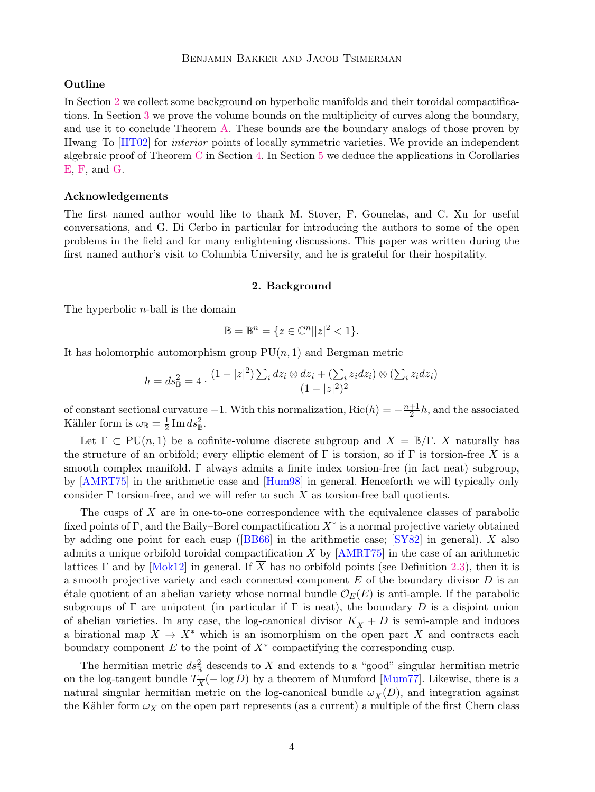# **Outline**

In Section [2](#page-3-0) we collect some background on hyperbolic manifolds and their toroidal compactifications. In Section [3](#page-5-1) we prove the volume bounds on the multiplicity of curves along the boundary, and use it to conclude Theorem [A.](#page-0-0) These bounds are the boundary analogs of those proven by Hwang–To [\[HT02\]](#page-14-11) for interior points of locally symmetric varieties. We provide an independent algebraic proof of Theorem [C](#page-1-0) in Section [4.](#page-9-1) In Section [5](#page-12-0) we deduce the applications in Corollaries [E,](#page-2-0) [F,](#page-2-1) and [G.](#page-2-2)

## Acknowledgements

The first named author would like to thank M. Stover, F. Gounelas, and C. Xu for useful conversations, and G. Di Cerbo in particular for introducing the authors to some of the open problems in the field and for many enlightening discussions. This paper was written during the first named author's visit to Columbia University, and he is grateful for their hospitality.

# 2. Background

<span id="page-3-0"></span>The hyperbolic  $n$ -ball is the domain

$$
\mathbb{B} = \mathbb{B}^n = \{ z \in \mathbb{C}^n \mid |z|^2 < 1 \}.
$$

It has holomorphic automorphism group  $PU(n, 1)$  and Bergman metric

$$
h = ds_{\mathbb{B}}^2 = 4 \cdot \frac{(1 - |z|^2) \sum_i dz_i \otimes d\overline{z}_i + (\sum_i \overline{z}_i dz_i) \otimes (\sum_i z_i d\overline{z}_i)}{(1 - |z|^2)^2}
$$

of constant sectional curvature  $-1$ . With this normalization, Ric $(h) = -\frac{n+1}{2}$  $\frac{+1}{2}h$ , and the associated Kähler form is  $\omega_{\mathbb{B}} = \frac{1}{2}$  $rac{1}{2}$  Im  $ds^2_{\mathbb{B}}$ .

Let  $\Gamma \subset \text{PU}(n,1)$  be a cofinite-volume discrete subgroup and  $X = \mathbb{B}/\Gamma$ . X naturally has the structure of an orbifold; every elliptic element of  $\Gamma$  is torsion, so if  $\Gamma$  is torsion-free X is a smooth complex manifold. Γ always admits a finite index torsion-free (in fact neat) subgroup, by [\[AMRT75\]](#page-14-0) in the arithmetic case and [\[Hum98\]](#page-14-12) in general. Henceforth we will typically only consider  $\Gamma$  torsion-free, and we will refer to such X as torsion-free ball quotients.

The cusps of  $X$  are in one-to-one correspondence with the equivalence classes of parabolic fixed points of  $\Gamma$ , and the Baily–Borel compactification  $X^*$  is a normal projective variety obtained byadding one point for each cusp ( $[B B 66]$  in the arithmetic case;  $[SY82]$  in general). X also admits a unique orbifold toroidal compactification  $\overline{X}$  by [\[AMRT75\]](#page-14-0) in the case of an arithmetic lattices Γ and by [\[Mok12\]](#page-14-1) in general. If  $\overline{X}$  has no orbifold points (see Definition [2.3\)](#page-5-0), then it is a smooth projective variety and each connected component  $E$  of the boundary divisor  $D$  is an étale quotient of an abelian variety whose normal bundle  $\mathcal{O}_E(E)$  is anti-ample. If the parabolic subgroups of  $\Gamma$  are unipotent (in particular if  $\Gamma$  is neat), the boundary D is a disjoint union of abelian varieties. In any case, the log-canonical divisor  $K_{\overline{X}} + D$  is semi-ample and induces a birational map  $\overline{X} \to X^*$  which is an isomorphism on the open part X and contracts each boundary component  $E$  to the point of  $X^*$  compactifying the corresponding cusp.

The hermitian metric  $ds^2_{\mathbb{B}}$  descends to X and extends to a "good" singular hermitian metric on the log-tangent bundle  $T_{\overline{X}}(-\log D)$  by a theorem of Mumford [\[Mum77\]](#page-15-5). Likewise, there is a natural singular hermitian metric on the log-canonical bundle  $\omega_{\overline{X}}(D)$ , and integration against the Kähler form  $\omega_X$  on the open part represents (as a current) a multiple of the first Chern class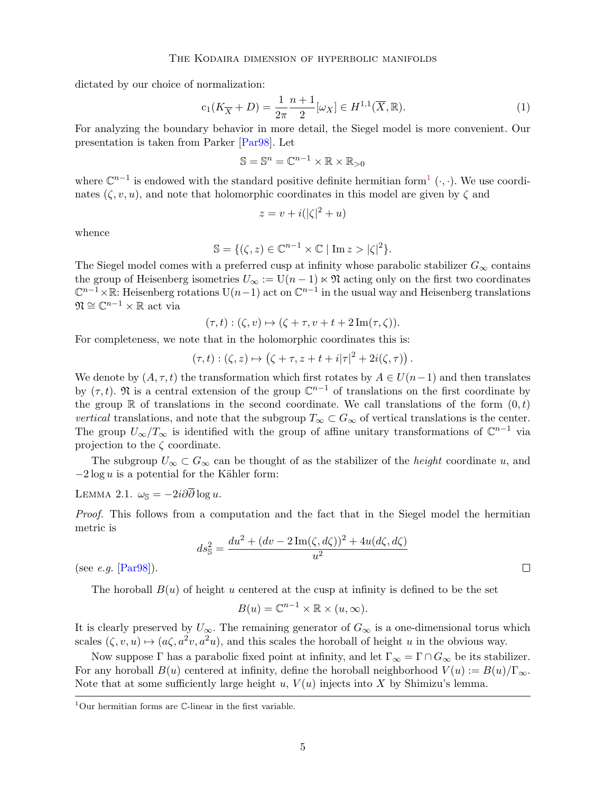dictated by our choice of normalization:

<span id="page-4-1"></span>
$$
c_1(K_{\overline{X}} + D) = \frac{1}{2\pi} \frac{n+1}{2} [\omega_X] \in H^{1,1}(\overline{X}, \mathbb{R}).
$$
\n(1)

For analyzing the boundary behavior in more detail, the Siegel model is more convenient. Our presentation is taken from Parker [\[Par98\]](#page-15-1). Let

$$
\mathbb{S} = \mathbb{S}^n = \mathbb{C}^{n-1} \times \mathbb{R} \times \mathbb{R}_{>0}
$$

where  $\mathbb{C}^{n-1}$  $\mathbb{C}^{n-1}$  $\mathbb{C}^{n-1}$  is endowed with the standard positive definite hermitian form<sup>1</sup> ( $\cdot$ , $\cdot$ ). We use coordinates  $(\zeta, v, u)$ , and note that holomorphic coordinates in this model are given by  $\zeta$  and

$$
z = v + i(|\zeta|^2 + u)
$$

whence

$$
\mathbb{S} = \{ (\zeta, z) \in \mathbb{C}^{n-1} \times \mathbb{C} \mid \text{Im } z > |\zeta|^2 \}.
$$

The Siegel model comes with a preferred cusp at infinity whose parabolic stabilizer  $G_{\infty}$  contains the group of Heisenberg isometries  $U_{\infty} := U(n-1) \times \mathfrak{N}$  acting only on the first two coordinates  $\mathbb{C}^{n-1}\times\mathbb{R}$ : Heisenberg rotations  $U(n-1)$  act on  $\mathbb{C}^{n-1}$  in the usual way and Heisenberg translations  $\mathfrak{N} \cong \mathbb{C}^{n-1} \times \mathbb{R}$  act via

$$
(\tau, t) : (\zeta, v) \mapsto (\zeta + \tau, v + t + 2 \operatorname{Im}(\tau, \zeta)).
$$

For completeness, we note that in the holomorphic coordinates this is:

$$
(\tau,t):(\zeta,z)\mapsto (\zeta+\tau,z+t+i|\tau|^2+2i(\zeta,\tau)).
$$

We denote by  $(A, \tau, t)$  the transformation which first rotates by  $A \in U(n-1)$  and then translates by  $(\tau, t)$ . N is a central extension of the group  $\mathbb{C}^{n-1}$  of translations on the first coordinate by the group  $\mathbb R$  of translations in the second coordinate. We call translations of the form  $(0,t)$ vertical translations, and note that the subgroup  $T_{\infty} \subset G_{\infty}$  of vertical translations is the center. The group  $U_{\infty}/T_{\infty}$  is identified with the group of affine unitary transformations of  $\mathbb{C}^{n-1}$  via projection to the  $\zeta$  coordinate.

The subgroup  $U_{\infty} \subset G_{\infty}$  can be thought of as the stabilizer of the *height* coordinate u, and  $-2 \log u$  is a potential for the Kähler form:

LEMMA 2.1.  $\omega_{\mathbb{S}} = -2i\partial\overline{\partial} \log u$ .

Proof. This follows from a computation and the fact that in the Siegel model the hermitian metric is

$$
ds_{\rm S}^2 = \frac{du^2 + (dv - 2\,{\rm Im}(\zeta, d\zeta))^2 + 4u(d\zeta, d\zeta)}{u^2}
$$

(see  $e.g.$  [\[Par98\]](#page-15-1)).

The horoball  $B(u)$  of height u centered at the cusp at infinity is defined to be the set

$$
B(u) = \mathbb{C}^{n-1} \times \mathbb{R} \times (u, \infty).
$$

It is clearly preserved by  $U_{\infty}$ . The remaining generator of  $G_{\infty}$  is a one-dimensional torus which scales  $(\zeta, v, u) \mapsto (a\zeta, a^2v, a^2u)$ , and this scales the horoball of height u in the obvious way.

Now suppose  $\Gamma$  has a parabolic fixed point at infinity, and let  $\Gamma_{\infty} = \Gamma \cap G_{\infty}$  be its stabilizer. For any horoball  $B(u)$  centered at infinity, define the horoball neighborhood  $V(u) := B(u)/\Gamma_{\infty}$ . Note that at some sufficiently large height u,  $V(u)$  injects into X by Shimizu's lemma.

<span id="page-4-0"></span><sup>1</sup>Our hermitian forms are C-linear in the first variable.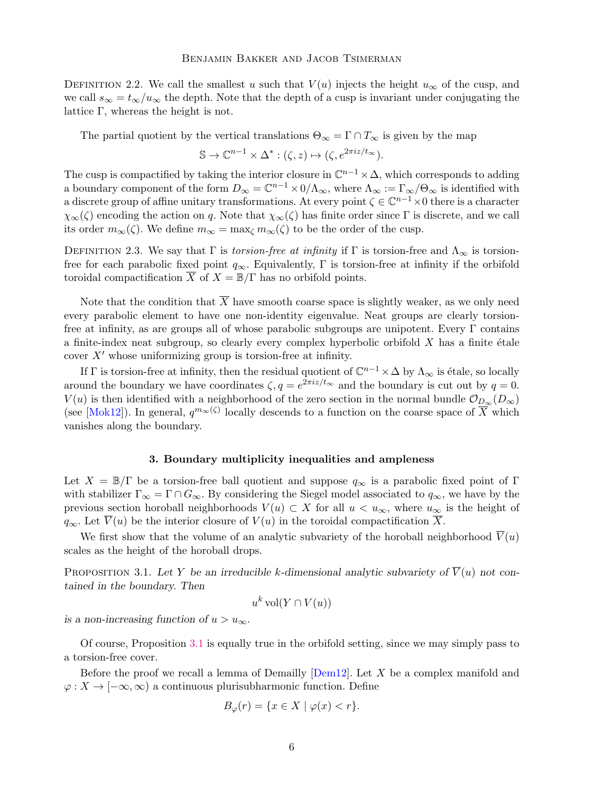DEFINITION 2.2. We call the smallest u such that  $V(u)$  injects the height  $u_{\infty}$  of the cusp, and we call  $s_{\infty} = t_{\infty}/u_{\infty}$  the depth. Note that the depth of a cusp is invariant under conjugating the lattice  $\Gamma$ , whereas the height is not.

The partial quotient by the vertical translations  $\Theta_{\infty} = \Gamma \cap T_{\infty}$  is given by the map

$$
\mathbb{S} \to \mathbb{C}^{n-1} \times \Delta^* : (\zeta, z) \mapsto (\zeta, e^{2\pi i z/t_{\infty}}).
$$

The cusp is compactified by taking the interior closure in  $\mathbb{C}^{n-1}\times\Delta$ , which corresponds to adding a boundary component of the form  $D_{\infty} = \mathbb{C}^{n-1} \times 0/\Lambda_{\infty}$ , where  $\Lambda_{\infty} := \Gamma_{\infty}/\Theta_{\infty}$  is identified with a discrete group of affine unitary transformations. At every point  $\zeta \in \mathbb{C}^{n-1} \times 0$  there is a character  $\chi_{\infty}(\zeta)$  encoding the action on q. Note that  $\chi_{\infty}(\zeta)$  has finite order since Γ is discrete, and we call its order  $m_{\infty}(\zeta)$ . We define  $m_{\infty} = \max_{\zeta} m_{\infty}(\zeta)$  to be the order of the cusp.

<span id="page-5-0"></span>DEFINITION 2.3. We say that Γ is torsion-free at infinity if Γ is torsion-free and  $\Lambda_{\infty}$  is torsionfree for each parabolic fixed point  $q_{\infty}$ . Equivalently, Γ is torsion-free at infinity if the orbifold toroidal compactification  $\overline{X}$  of  $X = \mathbb{B}/\Gamma$  has no orbifold points.

Note that the condition that  $\overline{X}$  have smooth coarse space is slightly weaker, as we only need every parabolic element to have one non-identity eigenvalue. Neat groups are clearly torsionfree at infinity, as are groups all of whose parabolic subgroups are unipotent. Every  $\Gamma$  contains a finite-index neat subgroup, so clearly every complex hyperbolic orbifold  $X$  has a finite étale cover  $X'$  whose uniformizing group is torsion-free at infinity.

If  $\Gamma$  is torsion-free at infinity, then the residual quotient of  $\mathbb{C}^{n-1}\times\Delta$  by  $\Lambda_{\infty}$  is étale, so locally around the boundary we have coordinates  $\zeta, q = e^{2\pi i z/t_{\infty}}$  and the boundary is cut out by  $q = 0$ .  $V(u)$  is then identified with a neighborhood of the zero section in the normal bundle  $\mathcal{O}_{D_{\infty}}(D_{\infty})$ (see [\[Mok12\]](#page-14-1)). In general,  $q^{m_{\infty}(\zeta)}$  locally descends to a function on the coarse space of  $\overline{X}$  which vanishes along the boundary.

#### 3. Boundary multiplicity inequalities and ampleness

<span id="page-5-1"></span>Let  $X = \mathbb{B}/\Gamma$  be a torsion-free ball quotient and suppose  $q_{\infty}$  is a parabolic fixed point of  $\Gamma$ with stabilizer  $\Gamma_{\infty} = \Gamma \cap G_{\infty}$ . By considering the Siegel model associated to  $q_{\infty}$ , we have by the previous section horoball neighborhoods  $V(u) \subset X$  for all  $u < u_{\infty}$ , where  $u_{\infty}$  is the height of  $q_{\infty}$ . Let  $\overline{V}(u)$  be the interior closure of  $V(u)$  in the toroidal compactification X.

We first show that the volume of an analytic subvariety of the horoball neighborhood  $\overline{V}(u)$ scales as the height of the horoball drops.

<span id="page-5-2"></span>PROPOSITION 3.1. Let Y be an irreducible k-dimensional analytic subvariety of  $\overline{V}(u)$  not contained in the boundary. Then

$$
u^k \operatorname{vol}(Y \cap V(u))
$$

is a non-increasing function of  $u > u_{\infty}$ .

Of course, Proposition [3.1](#page-5-2) is equally true in the orbifold setting, since we may simply pass to a torsion-free cover.

Before the proof we recall a lemma of Demailly  $[Dem12]$ . Let X be a complex manifold and  $\varphi: X \to [-\infty, \infty)$  a continuous plurisubharmonic function. Define

$$
B_{\varphi}(r) = \{ x \in X \mid \varphi(x) < r \}.
$$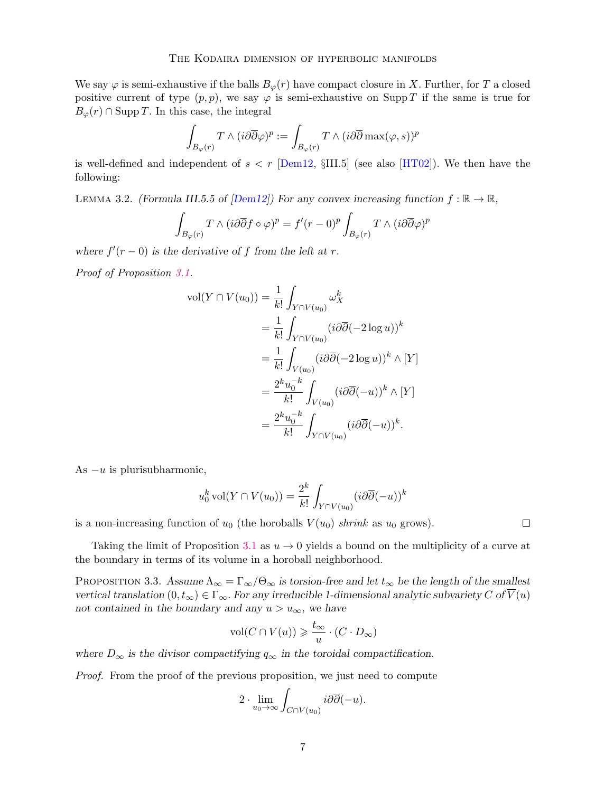We say  $\varphi$  is semi-exhaustive if the balls  $B_{\varphi}(r)$  have compact closure in X. Further, for T a closed positive current of type  $(p, p)$ , we say  $\varphi$  is semi-exhaustive on Supp T if the same is true for  $B_{\varphi}(r) \cap \text{Supp } T$ . In this case, the integral

$$
\int_{B_{\varphi}(r)} T \wedge (i \partial \overline{\partial} \varphi)^p := \int_{B_{\varphi}(r)} T \wedge (i \partial \overline{\partial} \max(\varphi, s))^p
$$

is well-defined and independent of  $s < r$  [\[Dem12,](#page-14-14) §III.5] (see also [\[HT02\]](#page-14-11)). We then have the following:

LEMMA 3.2. (Formula III.5.5 of [\[Dem12\]](#page-14-14)) For any convex increasing function  $f : \mathbb{R} \to \mathbb{R}$ ,

$$
\int_{B_{\varphi}(r)} T \wedge (i \partial \overline{\partial} f \circ \varphi)^p = f'(r-0)^p \int_{B_{\varphi}(r)} T \wedge (i \partial \overline{\partial} \varphi)^p
$$

where  $f'(r-0)$  is the derivative of f from the left at r.

Proof of Proposition [3.1.](#page-5-2)

$$
\text{vol}(Y \cap V(u_0)) = \frac{1}{k!} \int_{Y \cap V(u_0)} \omega_X^k
$$
  
\n
$$
= \frac{1}{k!} \int_{Y \cap V(u_0)} (i \partial \overline{\partial} (-2 \log u))^k
$$
  
\n
$$
= \frac{1}{k!} \int_{V(u_0)} (i \partial \overline{\partial} (-2 \log u))^k \wedge [Y]
$$
  
\n
$$
= \frac{2^k u_0^{-k}}{k!} \int_{V(u_0)} (i \partial \overline{\partial} (-u))^k \wedge [Y]
$$
  
\n
$$
= \frac{2^k u_0^{-k}}{k!} \int_{Y \cap V(u_0)} (i \partial \overline{\partial} (-u))^k.
$$

As  $-u$  is plurisubharmonic,

$$
u_0^k \operatorname{vol}(Y \cap V(u_0)) = \frac{2^k}{k!} \int_{Y \cap V(u_0)} (i \partial \overline{\partial}(-u))^k
$$

is a non-increasing function of  $u_0$  (the horoballs  $V(u_0)$  shrink as  $u_0$  grows).

Taking the limit of Proposition [3.1](#page-5-2) as  $u \to 0$  yields a bound on the multiplicity of a curve at the boundary in terms of its volume in a horoball neighborhood.

<span id="page-6-0"></span>PROPOSITION 3.3. Assume  $\Lambda_{\infty} = \Gamma_{\infty}/\Theta_{\infty}$  is torsion-free and let  $t_{\infty}$  be the length of the smallest vertical translation  $(0, t_{\infty}) \in \Gamma_{\infty}$ . For any irreducible 1-dimensional analytic subvariety C of  $\overline{V}(u)$ not contained in the boundary and any  $u > u_{\infty}$ , we have

<span id="page-6-1"></span>
$$
\text{vol}(C \cap V(u)) \geqslant \frac{t_{\infty}}{u} \cdot (C \cdot D_{\infty})
$$

where  $D_{\infty}$  is the divisor compactifying  $q_{\infty}$  in the toroidal compactification.

Proof. From the proof of the previous proposition, we just need to compute

$$
2 \cdot \lim_{u_0 \to \infty} \int_{C \cap V(u_0)} i \partial \overline{\partial}(-u).
$$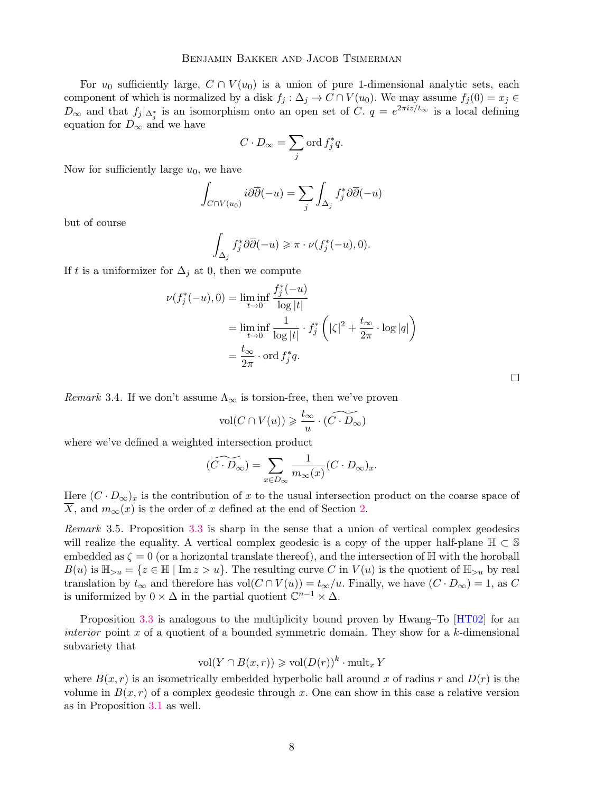For  $u_0$  sufficiently large,  $C \cap V(u_0)$  is a union of pure 1-dimensional analytic sets, each component of which is normalized by a disk  $f_j : \Delta_j \to C \cap V(u_0)$ . We may assume  $f_j(0) = x_j \in$  $D_{\infty}$  and that  $f_j|_{\Delta_j^*}$  is an isomorphism onto an open set of C.  $q=e^{2\pi i z/t_{\infty}}$  is a local defining equation for  $D_{\infty}$  and we have

$$
C \cdot D_{\infty} = \sum_{j} \text{ord} f_{j}^{*} q.
$$

Now for sufficiently large  $u_0$ , we have

$$
\int_{C \cap V(u_0)} i \partial \overline{\partial} (-u) = \sum_j \int_{\Delta_j} f_j^* \partial \overline{\partial} (-u)
$$

but of course

$$
\int_{\Delta_j} f_j^* \partial \overline{\partial}(-u) \geq \pi \cdot \nu(f_j^*(-u), 0).
$$

If t is a uniformizer for  $\Delta_i$  at 0, then we compute

$$
\nu(f_j^*(-u), 0) = \liminf_{t \to 0} \frac{f_j^*(-u)}{\log|t|}
$$
  
= 
$$
\liminf_{t \to 0} \frac{1}{\log|t|} \cdot f_j^* \left( |\zeta|^2 + \frac{t_{\infty}}{2\pi} \cdot \log|q| \right)
$$
  
= 
$$
\frac{t_{\infty}}{2\pi} \cdot \text{ord } f_j^* q.
$$

<span id="page-7-0"></span>Remark 3.4. If we don't assume  $\Lambda_{\infty}$  is torsion-free, then we've proven

$$
\text{vol}(C \cap V(u)) \geqslant \frac{t_{\infty}}{u} \cdot (\widetilde{C \cdot D_{\infty}})
$$

where we've defined a weighted intersection product

$$
\widetilde{(C \cdot D_{\infty})} = \sum_{x \in D_{\infty}} \frac{1}{m_{\infty}(x)} (C \cdot D_{\infty})_x.
$$

Here  $(C \cdot D_{\infty})_x$  is the contribution of x to the usual intersection product on the coarse space of X, and  $m_{\infty}(x)$  is the order of x defined at the end of Section [2.](#page-3-0)

Remark 3.5. Proposition [3.3](#page-6-0) is sharp in the sense that a union of vertical complex geodesics will realize the equality. A vertical complex geodesic is a copy of the upper half-plane  $\mathbb{H} \subset \mathbb{S}$ embedded as  $\zeta = 0$  (or a horizontal translate thereof), and the intersection of H with the horoball  $B(u)$  is  $\mathbb{H}_{>u} = \{z \in \mathbb{H} \mid \text{Im } z > u\}$ . The resulting curve C in  $V(u)$  is the quotient of  $\mathbb{H}_{>u}$  by real translation by  $t_{\infty}$  and therefore has vol $(C \cap V(u)) = t_{\infty}/u$ . Finally, we have  $(C \cdot D_{\infty}) = 1$ , as C is uniformized by  $0 \times \Delta$  in the partial quotient  $\mathbb{C}^{n-1} \times \Delta$ .

Proposition [3.3](#page-6-0) is analogous to the multiplicity bound proven by Hwang–To [\[HT02\]](#page-14-11) for an *interior* point x of a quotient of a bounded symmetric domain. They show for a  $k$ -dimensional subvariety that

$$
\text{vol}(Y \cap B(x,r)) \geq \text{vol}(D(r))^k \cdot \text{mult}_x Y
$$

where  $B(x, r)$  is an isometrically embedded hyperbolic ball around x of radius r and  $D(r)$  is the volume in  $B(x, r)$  of a complex geodesic through x. One can show in this case a relative version as in Proposition [3.1](#page-5-2) as well.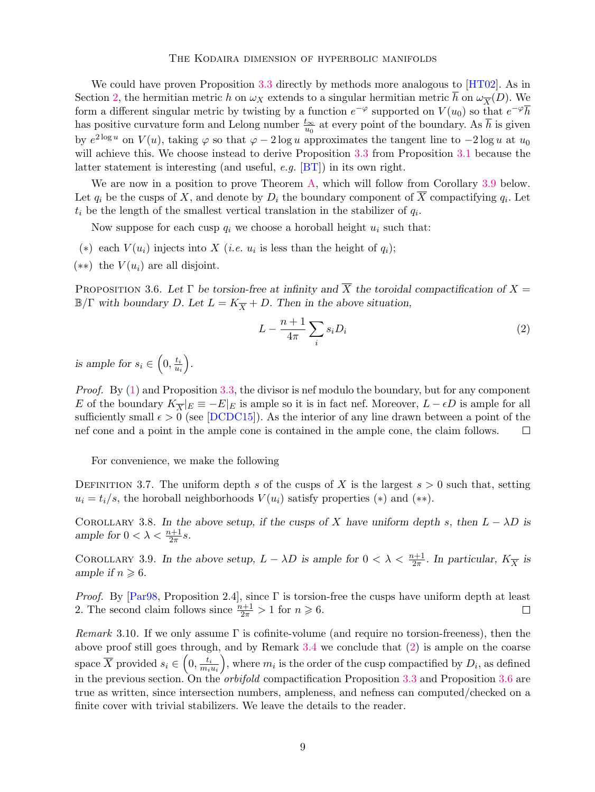#### The Kodaira dimension of hyperbolic manifolds

We could have proven Proposition [3.3](#page-6-0) directly by methods more analogous to [\[HT02\]](#page-14-11). As in Section [2,](#page-3-0) the hermitian metric h on  $\omega_X$  extends to a singular hermitian metric h on  $\omega_{\overline{X}}(D)$ . We form a different singular metric by twisting by a function  $e^{-\varphi}$  supported on  $V(u_0)$  so that  $e^{-\varphi} \overline{h}$ has positive curvature form and Lelong number  $\frac{t_{\infty}}{u_0}$  at every point of the boundary. As  $\overline{h}$  is given by  $e^{2\log u}$  on  $V(u)$ , taking  $\varphi$  so that  $\varphi - 2\log u$  approximates the tangent line to  $-2\log u$  at  $u_0$ will achieve this. We choose instead to derive Proposition [3.3](#page-6-0) from Proposition [3.1](#page-5-2) because the latter statement is interesting (and useful, e.g. [\[BT\]](#page-14-15)) in its own right.

We are now in a position to prove Theorem [A,](#page-0-0) which will follow from Corollary [3.9](#page-8-2) below. Let  $q_i$  be the cusps of X, and denote by  $D_i$  the boundary component of X compactifying  $q_i$ . Let  $t_i$  be the length of the smallest vertical translation in the stabilizer of  $q_i$ .

Now suppose for each cusp  $q_i$  we choose a horoball height  $u_i$  such that:

- (\*) each  $V(u_i)$  injects into X (*i.e.*  $u_i$  is less than the height of  $q_i$ );
- $(**)$  the  $V(u_i)$  are all disjoint.

<span id="page-8-0"></span>PROPOSITION 3.6. Let  $\Gamma$  be torsion-free at infinity and  $\overline{X}$  the toroidal compactification of  $X =$  $\mathbb{B}/\Gamma$  with boundary D. Let  $L = K_{\overline{X}} + D$ . Then in the above situation,

$$
L - \frac{n+1}{4\pi} \sum_{i} s_i D_i \tag{2}
$$

is ample for  $s_i \in \left(0, \frac{t_i}{u_i}\right)$  $u_i$ .

Proof. By [\(1\)](#page-4-1) and Proposition [3.3,](#page-6-0) the divisor is nef modulo the boundary, but for any component E of the boundary  $K_{\overline{X}}|_E \equiv -E|_E$  is ample so it is in fact nef. Moreover,  $L - \epsilon D$  is ample for all sufficiently small  $\epsilon > 0$  (see [\[DCDC15\]](#page-14-10)). As the interior of any line drawn between a point of the nef cone and a point in the ample cone is contained in the ample cone, the claim follows.  $\Box$ 

For convenience, we make the following

<span id="page-8-1"></span>DEFINITION 3.7. The uniform depth s of the cusps of X is the largest  $s > 0$  such that, setting  $u_i = t_i/s$ , the horoball neighborhoods  $V(u_i)$  satisfy properties (\*) and (\*\*).

<span id="page-8-3"></span>COROLLARY 3.8. In the above setup, if the cusps of X have uniform depth s, then  $L - \lambda D$  is ample for  $0 < \lambda < \frac{n+1}{2\pi} s$ .

<span id="page-8-2"></span>COROLLARY 3.9. In the above setup,  $L - \lambda D$  is ample for  $0 < \lambda < \frac{n+1}{2\pi}$ . In particular,  $K_{\overline{X}}$  is ample if  $n \geqslant 6$ .

*Proof.* By [\[Par98,](#page-15-1) Proposition 2.4], since  $\Gamma$  is torsion-free the cusps have uniform depth at least 2. The second claim follows since  $\frac{n+1}{2\pi} > 1$  for  $n \ge 6$ .  $\Box$ 

Remark 3.10. If we only assume  $\Gamma$  is cofinite-volume (and require no torsion-freeness), then the above proof still goes through, and by Remark [3.4](#page-7-0) we conclude that [\(2\)](#page-6-1) is ample on the coarse space  $\overline{X}$  provided  $s_i \in \left(0, \frac{t_i}{m_i}\right)$  $m_i u_i$ ), where  $m_i$  is the order of the cusp compactified by  $D_i$ , as defined in the previous section. On the orbifold compactification Proposition [3.3](#page-6-0) and Proposition [3.6](#page-8-0) are true as written, since intersection numbers, ampleness, and nefness can computed/checked on a finite cover with trivial stabilizers. We leave the details to the reader.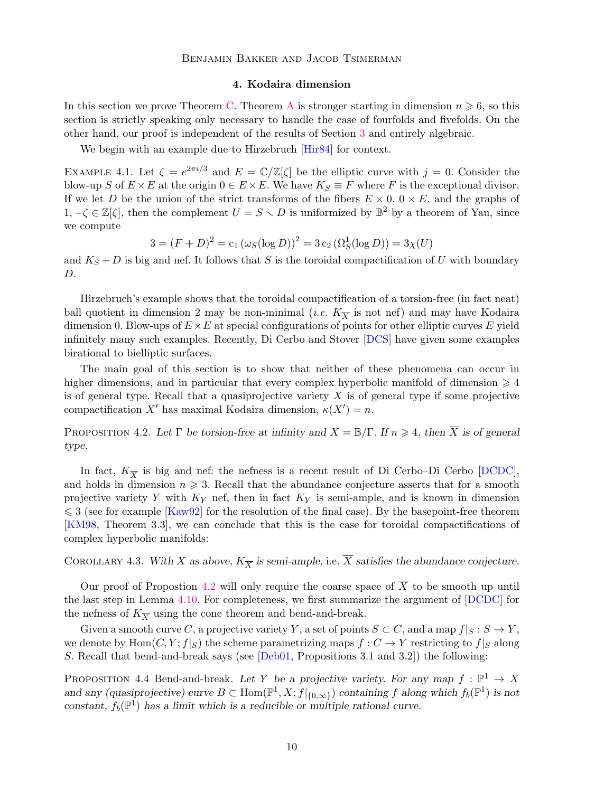# 4. Kodaira dimension

<span id="page-9-1"></span>In this section we prove Theorem [C.](#page-1-0) Theorem [A](#page-0-0) is stronger starting in dimension  $n \geqslant 6$ , so this section is strictly speaking only necessary to handle the case of fourfolds and fivefolds. On the other hand, our proof is independent of the results of Section [3](#page-5-1) and entirely algebraic.

We begin with an example due to Hirzebruch [\[Hir84\]](#page-14-5) for context.

<span id="page-9-0"></span>EXAMPLE 4.1. Let  $\zeta = e^{2\pi i/3}$  and  $E = \mathbb{C}/\mathbb{Z}[\zeta]$  be the elliptic curve with  $j = 0$ . Consider the blow-up S of  $E \times E$  at the origin  $0 \in E \times E$ . We have  $K_S \equiv F$  where F is the exceptional divisor. If we let D be the union of the strict transforms of the fibers  $E \times 0$ ,  $0 \times E$ , and the graphs of 1,  $-\zeta \in \mathbb{Z}[\zeta]$ , then the complement  $U = S \setminus D$  is uniformized by  $\mathbb{B}^2$  by a theorem of Yau, since we compute

$$
3 = (F + D)^{2} = c_{1} (\omega_{S} (\log D))^{2} = 3 c_{2} (\Omega_{S}^{1} (\log D)) = 3 \chi(U)
$$

and  $K_S+D$  is big and nef. It follows that S is the toroidal compactification of U with boundary D.

Hirzebruch's example shows that the toroidal compactification of a torsion-free (in fact neat) ball quotient in dimension 2 may be non-minimal (*i.e.*  $K_{\overline{X}}$  is not nef) and may have Kodaira dimension 0. Blow-ups of  $E \times E$  at special configurations of points for other elliptic curves E yield infinitely many such examples. Recently, Di Cerbo and Stover [\[DCS\]](#page-14-16) have given some examples birational to bielliptic surfaces.

The main goal of this section is to show that neither of these phenomena can occur in higher dimensions, and in particular that every complex hyperbolic manifold of dimension  $\geq 4$ is of general type. Recall that a quasiprojective variety  $X$  is of general type if some projective compactification X' has maximal Kodaira dimension,  $\kappa(X') = n$ .

<span id="page-9-2"></span>PROPOSITION 4.2. Let  $\Gamma$  be torsion-free at infinity and  $X = \mathbb{B}/\Gamma$ . If  $n \geq 4$ , then  $\overline{X}$  is of general type.

In fact,  $K_{\overline{X}}$  is big and nef: the nefness is a recent result of Di Cerbo–Di Cerbo [\[DCDC\]](#page-14-6), and holds in dimension  $n \geqslant 3$ . Recall that the abundance conjecture asserts that for a smooth projective variety Y with  $K_Y$  nef, then in fact  $K_Y$  is semi-ample, and is known in dimension  $\leqslant$  3 (see for example [\[Kaw92\]](#page-14-17) for the resolution of the final case). By the basepoint-free theorem [\[KM98,](#page-14-7) Theorem 3.3], we can conclude that this is the case for toroidal compactifications of complex hyperbolic manifolds:

COROLLARY 4.3. With X as above,  $K_{\overline{X}}$  is semi-ample, i.e.  $\overline{X}$  satisfies the abundance conjecture.

Our proof of Propostion [4.2](#page-9-2) will only require the coarse space of  $\overline{X}$  to be smooth up until the last step in Lemma [4.10.](#page-11-0) For completeness, we first summarize the argument of [\[DCDC\]](#page-14-6) for the nefness of  $K_{\overline{X}}$  using the cone theorem and bend-and-break.

Given a smooth curve C, a projective variety Y, a set of points  $S \subset C$ , and a map  $f|_S : S \to Y$ , we denote by  $\text{Hom}(C, Y; f|_{S})$  the scheme parametrizing maps  $f: C \to Y$  restricting to  $f|_{S}$  along S. Recall that bend-and-break says (see [\[Deb01,](#page-14-18) Propositions 3.1 and 3.2]) the following:

PROPOSITION 4.4 Bend-and-break. Let Y be a projective variety. For any map  $f : \mathbb{P}^1 \to X$ and any (quasiprojective) curve  $B \subset \text{Hom}(\mathbb{P}^1, X; f|_{\{0,\infty\}})$  containing f along which  $f_b(\mathbb{P}^1)$  is not constant,  $f_b(\mathbb{P}^1)$  has a limit which is a reducible or multiple rational curve.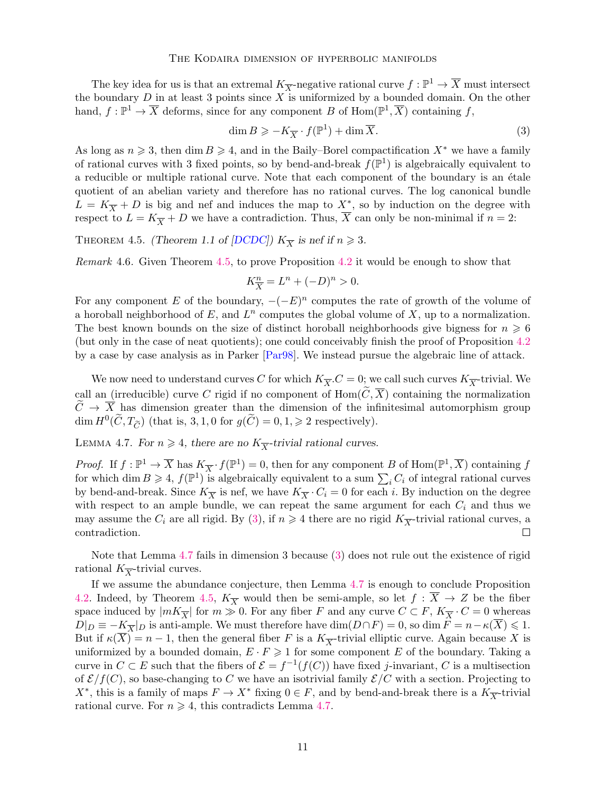#### The Kodaira dimension of hyperbolic manifolds

The key idea for us is that an extremal  $K_{\overline{X}}$ -negative rational curve  $f : \mathbb{P}^1 \to \overline{X}$  must intersect the boundary  $D$  in at least 3 points since  $\overline{X}$  is uniformized by a bounded domain. On the other hand,  $f: \mathbb{P}^1 \to \overline{X}$  deforms, since for any component B of  $\text{Hom}(\mathbb{P}^1, \overline{X})$  containing f,

<span id="page-10-1"></span>
$$
\dim B \geqslant -K_{\overline{X}} \cdot f(\mathbb{P}^1) + \dim \overline{X}.\tag{3}
$$

As long as  $n \ge 3$ , then dim  $B \ge 4$ , and in the Baily–Borel compactification  $X^*$  we have a family of rational curves with 3 fixed points, so by bend-and-break  $f(\mathbb{P}^1)$  is algebraically equivalent to a reducible or multiple rational curve. Note that each component of the boundary is an étale quotient of an abelian variety and therefore has no rational curves. The log canonical bundle  $L = K_{\overline{X}} + D$  is big and nef and induces the map to  $X^*$ , so by induction on the degree with respect to  $L = K_{\overline{X}} + D$  we have a contradiction. Thus,  $\overline{X}$  can only be non-minimal if  $n = 2$ :

<span id="page-10-0"></span>THEOREM 4.5. (Theorem 1.1 of [\[DCDC\]](#page-14-6))  $K_{\overline{X}}$  is nef if  $n \geq 3$ .

Remark 4.6. Given Theorem [4.5,](#page-10-0) to prove Proposition [4.2](#page-9-2) it would be enough to show that

$$
K_{\overline{X}}^n = L^n + (-D)^n > 0.
$$

For any component E of the boundary,  $-(-E)^n$  computes the rate of growth of the volume of a horoball neighborhood of  $E$ , and  $L<sup>n</sup>$  computes the global volume of  $X$ , up to a normalization. The best known bounds on the size of distinct horoball neighborhoods give bigness for  $n \geq 6$ (but only in the case of neat quotients); one could conceivably finish the proof of Proposition [4.2](#page-9-2) by a case by case analysis as in Parker [\[Par98\]](#page-15-1). We instead pursue the algebraic line of attack.

We now need to understand curves C for which  $K_{\overline{X}}.C = 0$ ; we call such curves  $K_{\overline{X}}$ -trivial. We call an (irreducible) curve C rigid if no component of  $Hom(\tilde{C}, \overline{X})$  containing the normalization  $\tilde{C} \to \overline{X}$  has dimension greater than the dimension of the infinitesimal automorphism group  $\dim H^0(\widetilde{C}, T_{\widetilde{C}})$  (that is, 3, 1, 0 for  $g(\widetilde{C}) = 0, 1, \geq 2$  respectively).

<span id="page-10-2"></span>LEMMA 4.7. For  $n \geq 4$ , there are no  $K_{\overline{X}}$ -trivial rational curves.

*Proof.* If  $f: \mathbb{P}^1 \to \overline{X}$  has  $K_{\overline{X}} \cdot f(\mathbb{P}^1) = 0$ , then for any component B of Hom $(\mathbb{P}^1, \overline{X})$  containing f for which dim  $B \geq 4$ ,  $f(\mathbb{P}^1)$  is algebraically equivalent to a sum  $\sum_i C_i$  of integral rational curves by bend-and-break. Since  $K_{\overline{X}}$  is nef, we have  $K_{\overline{X}} \cdot C_i = 0$  for each i. By induction on the degree with respect to an ample bundle, we can repeat the same argument for each  $C_i$  and thus we may assume the  $C_i$  are all rigid. By [\(3\)](#page-10-1), if  $n \geq 4$  there are no rigid  $K_{\overline{X}}$ -trivial rational curves, a contradiction.  $\Box$ 

Note that Lemma [4.7](#page-10-2) fails in dimension 3 because [\(3\)](#page-10-1) does not rule out the existence of rigid rational  $K_{\overline{X}}$ -trivial curves.

If we assume the abundance conjecture, then Lemma [4.7](#page-10-2) is enough to conclude Proposition [4.2.](#page-9-2) Indeed, by Theorem [4.5,](#page-10-0)  $K_{\overline{X}}$  would then be semi-ample, so let  $f : \overline{X} \to Z$  be the fiber space induced by  $|mK_{\overline{X}}|$  for  $m \gg 0$ . For any fiber F and any curve  $C \subset F$ ,  $K_{\overline{X}} \cdot C = 0$  whereas  $D|_D \equiv -\underline{K}_{\overline{X}}|_D$  is anti-ample. We must therefore have  $\dim(D \cap F) = 0$ , so  $\dim \overline{F} = n - \kappa(\overline{X}) \leq 1$ . But if  $\kappa(X) = n - 1$ , then the general fiber F is a  $K_{\overline{X}}$ -trivial elliptic curve. Again because X is uniformized by a bounded domain,  $E \cdot F \geq 1$  for some component E of the boundary. Taking a curve in  $C \subset E$  such that the fibers of  $\mathcal{E} = f^{-1}(f(C))$  have fixed j-invariant, C is a multisection of  $\mathcal{E}/f(C)$ , so base-changing to C we have an isotrivial family  $\mathcal{E}/C$  with a section. Projecting to  $X^*$ , this is a family of maps  $F \to X^*$  fixing  $0 \in F$ , and by bend-and-break there is a  $K_{\overline{X}}$ -trivial rational curve. For  $n \geq 4$ , this contradicts Lemma [4.7.](#page-10-2)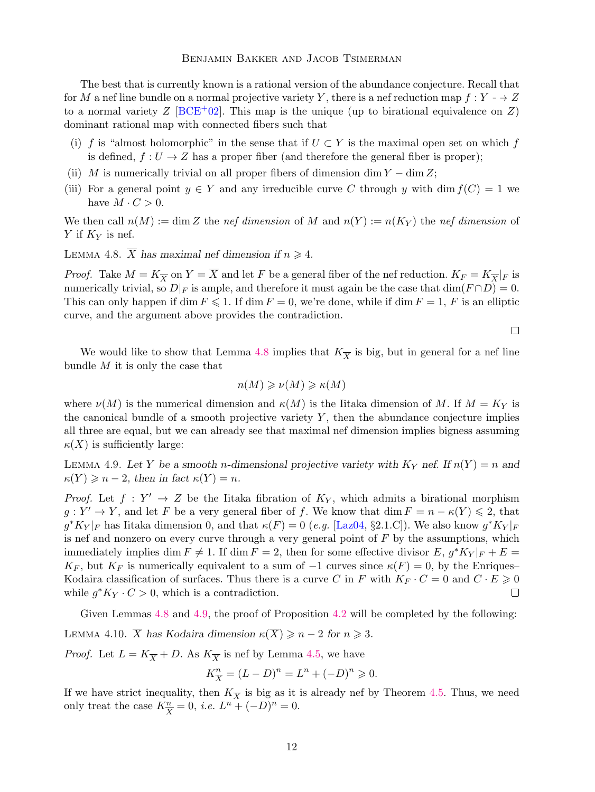The best that is currently known is a rational version of the abundance conjecture. Recall that for M a nef line bundle on a normal projective variety Y, there is a nef reduction map  $f: Y \dashrightarrow Z$ to a normal variety  $Z$  [\[BCE](#page-14-19)<sup>+</sup>02]. This map is the unique (up to birational equivalence on  $Z$ ) dominant rational map with connected fibers such that

- (i) f is "almost holomorphic" in the sense that if  $U \subset Y$  is the maximal open set on which f is defined,  $f: U \to Z$  has a proper fiber (and therefore the general fiber is proper);
- (ii) M is numerically trivial on all proper fibers of dimension dim  $Y \dim Z$ ;
- (iii) For a general point  $y \in Y$  and any irreducible curve C through y with dim  $f(C) = 1$  we have  $M \cdot C > 0$ .

We then call  $n(M) := \dim Z$  the nef dimension of M and  $n(Y) := n(K_Y)$  the nef dimension of Y if  $K_Y$  is nef.

<span id="page-11-1"></span>LEMMA 4.8.  $\overline{X}$  has maximal nef dimension if  $n \geq 4$ .

*Proof.* Take  $M = K_{\overline{X}}$  on  $Y = \overline{X}$  and let F be a general fiber of the nef reduction.  $K_F = K_{\overline{X}}|_F$  is numerically trivial, so  $D|_F$  is ample, and therefore it must again be the case that  $\dim(F \cap D) = 0$ . This can only happen if dim  $F \leq 1$ . If dim  $F = 0$ , we're done, while if dim  $F = 1$ , F is an elliptic curve, and the argument above provides the contradiction.

 $\Box$ 

We would like to show that Lemma [4.8](#page-11-1) implies that  $K_{\overline{X}}$  is big, but in general for a nef line bundle M it is only the case that

$$
n(M) \geqslant \nu(M) \geqslant \kappa(M)
$$

where  $\nu(M)$  is the numerical dimension and  $\kappa(M)$  is the Iitaka dimension of M. If  $M = K_Y$  is the canonical bundle of a smooth projective variety  $Y$ , then the abundance conjecture implies all three are equal, but we can already see that maximal nef dimension implies bigness assuming  $\kappa(X)$  is sufficiently large:

<span id="page-11-2"></span>LEMMA 4.9. Let Y be a smooth n-dimensional projective variety with  $K_Y$  nef. If  $n(Y) = n$  and  $\kappa(Y) \geqslant n-2$ , then in fact  $\kappa(Y) = n$ .

*Proof.* Let  $f: Y' \to Z$  be the Iitaka fibration of  $K_Y$ , which admits a birational morphism  $g: Y' \to Y$ , and let F be a very general fiber of f. We know that  $\dim F = n - \kappa(Y) \leq 2$ , that  $g^*K_Y|_F$  has Iitaka dimension 0, and that  $\kappa(F) = 0$  (e.g. [\[Laz04,](#page-14-20) §2.1.C]). We also know  $g^*K_Y|_F$ is nef and nonzero on every curve through a very general point of  $F$  by the assumptions, which immediately implies dim  $F \neq 1$ . If dim  $F = 2$ , then for some effective divisor E,  $g^*K_Y|_F + E =$  $K_F$ , but  $K_F$  is numerically equivalent to a sum of  $-1$  curves since  $\kappa(F) = 0$ , by the Enriques– Kodaira classification of surfaces. Thus there is a curve C in F with  $K_F \cdot C = 0$  and  $C \cdot E \geq 0$ while  $g^*K_Y \cdot C > 0$ , which is a contradiction.  $\Box$ 

<span id="page-11-0"></span>Given Lemmas [4.8](#page-11-1) and [4.9,](#page-11-2) the proof of Proposition [4.2](#page-9-2) will be completed by the following: LEMMA 4.10.  $\overline{X}$  has Kodaira dimension  $\kappa(\overline{X}) \geq n-2$  for  $n \geq 3$ .

*Proof.* Let  $L = K_{\overline{X}} + D$ . As  $K_{\overline{X}}$  is nef by Lemma [4.5,](#page-10-0) we have

$$
K_{\overline{X}}^{n} = (L - D)^{n} = L^{n} + (-D)^{n} \geq 0.
$$

If we have strict inequality, then  $K_{\overline{X}}$  is big as it is already nef by Theorem [4.5.](#page-10-0) Thus, we need only treat the case  $K_{\overline{X}}^n = 0$ , *i.e.*  $L^n + (-D)^n = 0$ .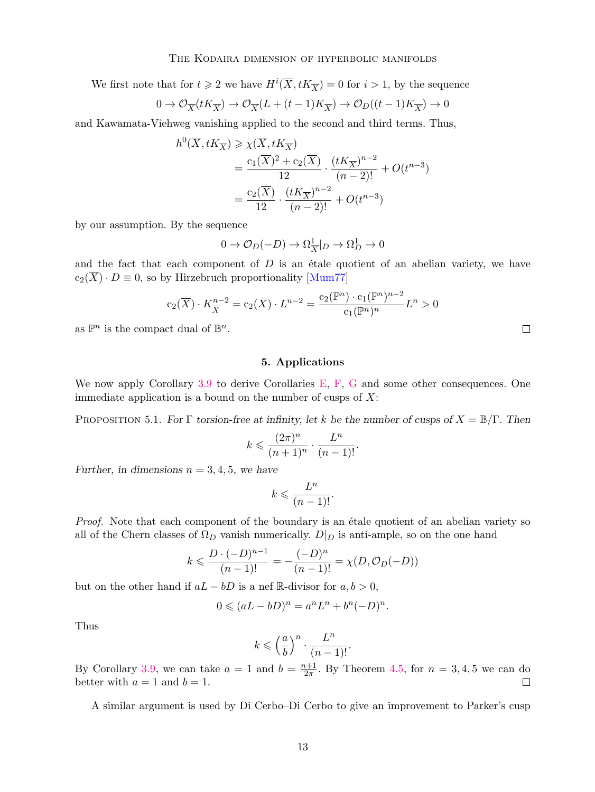We first note that for  $t \geq 2$  we have  $H^i(\overline{X}, tK_{\overline{X}}) = 0$  for  $i > 1$ , by the sequence

$$
0 \to \mathcal{O}_{\overline{X}}(tK_{\overline{X}}) \to \mathcal{O}_{\overline{X}}(L + (t-1)K_{\overline{X}}) \to \mathcal{O}_D((t-1)K_{\overline{X}}) \to 0
$$

and Kawamata-Viehweg vanishing applied to the second and third terms. Thus,

$$
h^{0}(\overline{X}, tK_{\overline{X}}) \ge \chi(\overline{X}, tK_{\overline{X}})
$$
  
= 
$$
\frac{c_{1}(\overline{X})^{2} + c_{2}(\overline{X})}{12} \cdot \frac{(tK_{\overline{X}})^{n-2}}{(n-2)!} + O(t^{n-3})
$$
  
= 
$$
\frac{c_{2}(\overline{X})}{12} \cdot \frac{(tK_{\overline{X}})^{n-2}}{(n-2)!} + O(t^{n-3})
$$

by our assumption. By the sequence

h

$$
0 \to \mathcal{O}_D(-D) \to \Omega^1_{\overline{X}}|_D \to \Omega^1_D \to 0
$$

and the fact that each component of  $D$  is an étale quotient of an abelian variety, we have  $c_2(\overline{X}) \cdot D \equiv 0$ , so by Hirzebruch proportionality [\[Mum77\]](#page-15-5)

$$
c_2(\overline{X}) \cdot K_{\overline{X}}^{n-2} = c_2(X) \cdot L^{n-2} = \frac{c_2(\mathbb{P}^n) \cdot c_1(\mathbb{P}^n)^{n-2}}{c_1(\mathbb{P}^n)^n} L^n > 0
$$

as  $\mathbb{P}^n$  is the compact dual of  $\mathbb{B}^n$ .

# 5. Applications

<span id="page-12-0"></span>We now apply Corollary [3.9](#page-8-2) to derive Corollaries [E,](#page-2-0) [F,](#page-2-1) [G](#page-2-2) and some other consequences. One immediate application is a bound on the number of cusps of  $X$ :

<span id="page-12-1"></span>PROPOSITION 5.1. For Γ torsion-free at infinity, let k be the number of cusps of  $X = \mathbb{B}/\Gamma$ . Then

$$
k \leqslant \frac{(2\pi)^n}{(n+1)^n} \cdot \frac{L^n}{(n-1)!}.
$$

Further, in dimensions  $n = 3, 4, 5$ , we have

$$
k \leqslant \frac{L^n}{(n-1)!}.
$$

Proof. Note that each component of the boundary is an étale quotient of an abelian variety so all of the Chern classes of  $\Omega_D$  vanish numerically.  $D|_D$  is anti-ample, so on the one hand

$$
k \leqslant \frac{D \cdot (-D)^{n-1}}{(n-1)!} = -\frac{(-D)^n}{(n-1)!} = \chi(D, \mathcal{O}_D(-D))
$$

but on the other hand if  $aL - bD$  is a nef R-divisor for  $a, b > 0$ ,

$$
0 \leqslant (aL - bD)^n = a^n L^n + b^n (-D)^n.
$$

Thus

$$
k \leqslant \left(\frac{a}{b}\right)^n \cdot \frac{L^n}{(n-1)!}.
$$

By Corollary [3.9,](#page-8-2) we can take  $a = 1$  and  $b = \frac{n+1}{2\pi}$  $\frac{n+1}{2\pi}$ . By Theorem [4.5,](#page-10-0) for  $n = 3, 4, 5$  we can do better with  $a = 1$  and  $b = 1$ .  $\Box$ 

A similar argument is used by Di Cerbo–Di Cerbo to give an improvement to Parker's cusp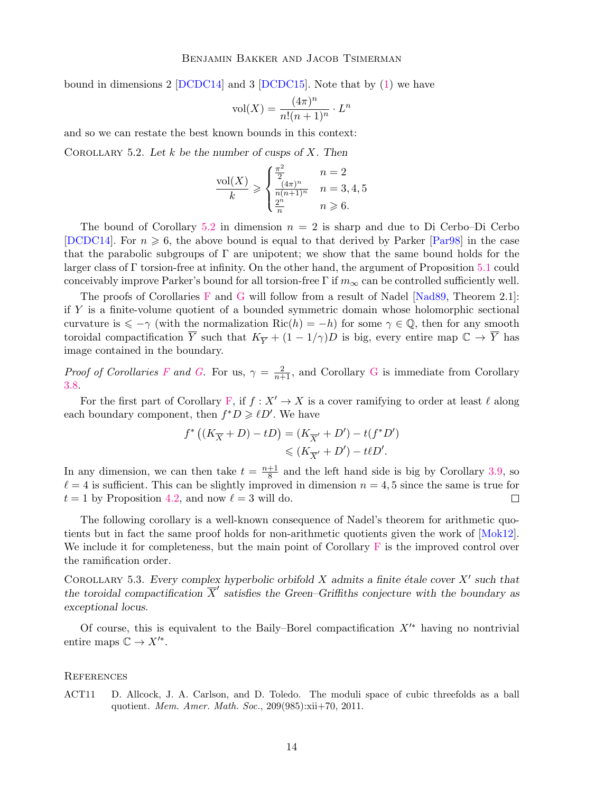bound in dimensions 2 [\[DCDC14\]](#page-14-21) and 3 [\[DCDC15\]](#page-14-10). Note that by [\(1\)](#page-4-1) we have

$$
vol(X) = \frac{(4\pi)^n}{n!(n+1)^n} \cdot L^n
$$

and so we can restate the best known bounds in this context:

<span id="page-13-1"></span>COROLLARY 5.2. Let  $k$  be the number of cusps of  $X$ . Then

$$
\frac{\text{vol}(X)}{k} \geqslant \begin{cases} \frac{\pi^2}{2} & n = 2\\ \frac{(4\pi)^n}{n(n+1)^n} & n = 3, 4, 5\\ \frac{2^n}{n} & n \geqslant 6. \end{cases}
$$

The bound of Corollary [5.2](#page-13-1) in dimension  $n = 2$  is sharp and due to Di Cerbo–Di Cerbo [\[DCDC14\]](#page-14-21). For  $n \ge 6$ , the above bound is equal to that derived by Parker [\[Par98\]](#page-15-1) in the case that the parabolic subgroups of  $\Gamma$  are unipotent; we show that the same bound holds for the larger class of Γ torsion-free at infinity. On the other hand, the argument of Proposition [5.1](#page-12-1) could conceivably improve Parker's bound for all torsion-free  $\Gamma$  if  $m_{\infty}$  can be controlled sufficiently well.

The proofs of Corollaries [F](#page-2-1) and [G](#page-2-2) will follow from a result of Nadel [\[Nad89,](#page-15-3) Theorem 2.1]: if  $Y$  is a finite-volume quotient of a bounded symmetric domain whose holomorphic sectional curvature is  $\leq -\gamma$  (with the normalization Ric(h) = -h) for some  $\gamma \in \mathbb{Q}$ , then for any smooth toroidal compactification  $\overline{Y}$  such that  $K_{\overline{Y}} + (1 - 1/\gamma)D$  is big, every entire map  $\mathbb{C} \to \overline{Y}$  has image contained in the boundary.

*Proof of Corollaries [F](#page-2-1) and [G.](#page-2-2)* For us,  $\gamma = \frac{2}{n+1}$ , and Corollary [G](#page-2-2) is immediate from Corollary [3.8.](#page-8-3)

For the first part of Corollary [F,](#page-2-1) if  $f : X' \to X$  is a cover ramifying to order at least  $\ell$  along each boundary component, then  $f^*D \geq \ell D'$ . We have

$$
f^* \left( (K_{\overline{X}} + D) - tD \right) = (K_{\overline{X}'} + D') - t(f^*D')
$$
  

$$
\leq (K_{\overline{X}'} + D') - t\ell D'.
$$

In any dimension, we can then take  $t = \frac{n+1}{8}$  $\frac{+1}{8}$  and the left hand side is big by Corollary [3.9,](#page-8-2) so  $\ell = 4$  is sufficient. This can be slightly improved in dimension  $n = 4, 5$  since the same is true for  $t = 1$  by Proposition [4.2,](#page-9-2) and now  $\ell = 3$  will do.  $\Box$ 

The following corollary is a well-known consequence of Nadel's theorem for arithmetic quotients but in fact the same proof holds for non-arithmetic quotients given the work of [\[Mok12\]](#page-14-1). We include it for completeness, but the main point of Corollary  $F$  is the improved control over the ramification order.

COROLLARY 5.3. Every complex hyperbolic orbifold  $X$  admits a finite étale cover  $X'$  such that the toroidal compactification  $\overline{X}'$  satisfies the Green–Griffiths conjecture with the boundary as exceptional locus.

Of course, this is equivalent to the Baily–Borel compactification  $X'^*$  having no nontrivial entire maps  $\mathbb{C} \to X'^*$ .

## **REFERENCES**

<span id="page-13-0"></span>ACT11 D. Allcock, J. A. Carlson, and D. Toledo. The moduli space of cubic threefolds as a ball quotient. Mem. Amer. Math. Soc., 209(985):xii+70, 2011.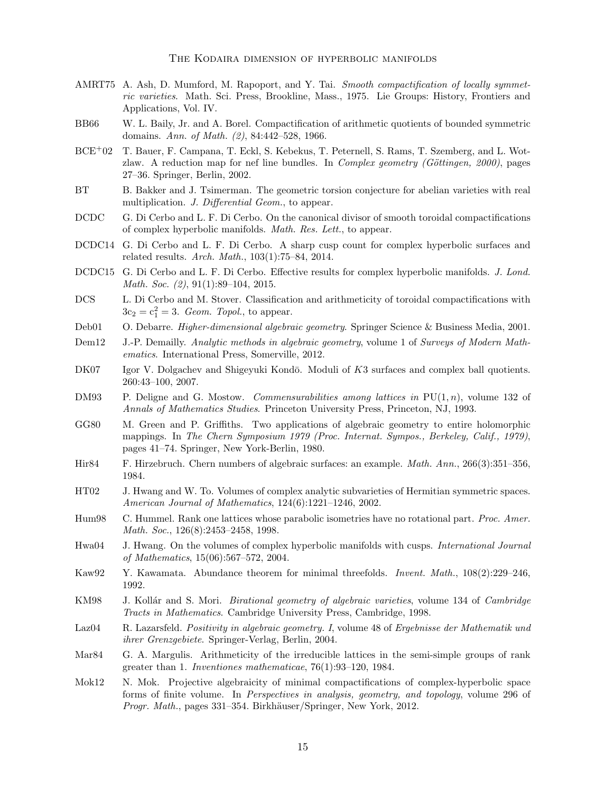- <span id="page-14-0"></span>AMRT75 A. Ash, D. Mumford, M. Rapoport, and Y. Tai. Smooth compactification of locally symmetric varieties. Math. Sci. Press, Brookline, Mass., 1975. Lie Groups: History, Frontiers and Applications, Vol. IV.
- <span id="page-14-13"></span>BB66 W. L. Baily, Jr. and A. Borel. Compactification of arithmetic quotients of bounded symmetric domains. Ann. of Math. (2), 84:442–528, 1966.
- <span id="page-14-19"></span>BCE+02 T. Bauer, F. Campana, T. Eckl, S. Kebekus, T. Peternell, S. Rams, T. Szemberg, and L. Wotzlaw. A reduction map for nef line bundles. In *Complex geometry (Göttingen, 2000)*, pages 27–36. Springer, Berlin, 2002.
- <span id="page-14-15"></span>BT B. Bakker and J. Tsimerman. The geometric torsion conjecture for abelian varieties with real multiplication. J. Differential Geom., to appear.
- <span id="page-14-6"></span>DCDC G. Di Cerbo and L. F. Di Cerbo. On the canonical divisor of smooth toroidal compactifications of complex hyperbolic manifolds. Math. Res. Lett., to appear.
- <span id="page-14-21"></span>DCDC14 G. Di Cerbo and L. F. Di Cerbo. A sharp cusp count for complex hyperbolic surfaces and related results. Arch. Math., 103(1):75–84, 2014.
- <span id="page-14-10"></span>DCDC15 G. Di Cerbo and L. F. Di Cerbo. Effective results for complex hyperbolic manifolds. J. Lond. Math. Soc. (2), 91(1):89–104, 2015.
- <span id="page-14-16"></span>DCS L. Di Cerbo and M. Stover. Classification and arithmeticity of toroidal compactifications with  $3c_2 = c_1^2 = 3$ . Geom. Topol., to appear.
- <span id="page-14-18"></span>Deb01 O. Debarre. Higher-dimensional algebraic geometry. Springer Science & Business Media, 2001.
- <span id="page-14-14"></span>Dem12 J.-P. Demailly. Analytic methods in algebraic geometry, volume 1 of Surveys of Modern Mathematics. International Press, Somerville, 2012.
- <span id="page-14-2"></span>DK07 Igor V. Dolgachev and Shigeyuki Kondō. Moduli of  $K3$  surfaces and complex ball quotients. 260:43–100, 2007.
- <span id="page-14-4"></span>DM93 P. Deligne and G. Mostow. Commensurabilities among lattices in  $PU(1, n)$ , volume 132 of Annals of Mathematics Studies. Princeton University Press, Princeton, NJ, 1993.
- <span id="page-14-9"></span>GG80 M. Green and P. Griffiths. Two applications of algebraic geometry to entire holomorphic mappings. In The Chern Symposium 1979 (Proc. Internat. Sympos., Berkeley, Calif., 1979), pages 41–74. Springer, New York-Berlin, 1980.
- <span id="page-14-5"></span>Hir84 F. Hirzebruch. Chern numbers of algebraic surfaces: an example. Math. Ann., 266(3):351–356, 1984.
- <span id="page-14-11"></span>HT02 J. Hwang and W. To. Volumes of complex analytic subvarieties of Hermitian symmetric spaces. American Journal of Mathematics, 124(6):1221–1246, 2002.
- <span id="page-14-12"></span>Hum98 C. Hummel. Rank one lattices whose parabolic isometries have no rotational part. Proc. Amer. Math. Soc., 126(8):2453–2458, 1998.
- <span id="page-14-8"></span>Hwa04 J. Hwang. On the volumes of complex hyperbolic manifolds with cusps. International Journal of Mathematics, 15(06):567–572, 2004.
- <span id="page-14-17"></span>Kaw92 Y. Kawamata. Abundance theorem for minimal threefolds. Invent. Math., 108(2):229–246, 1992.
- <span id="page-14-7"></span>KM98 J. Kollár and S. Mori. *Birational geometry of algebraic varieties*, volume 134 of *Cambridge* Tracts in Mathematics. Cambridge University Press, Cambridge, 1998.
- <span id="page-14-20"></span>Laz04 R. Lazarsfeld. Positivity in algebraic geometry. I, volume 48 of Ergebnisse der Mathematik und ihrer Grenzgebiete. Springer-Verlag, Berlin, 2004.
- <span id="page-14-3"></span>Mar84 G. A. Margulis. Arithmeticity of the irreducible lattices in the semi-simple groups of rank greater than 1. Inventiones mathematicae, 76(1):93–120, 1984.
- <span id="page-14-1"></span>Mok12 N. Mok. Projective algebraicity of minimal compactifications of complex-hyperbolic space forms of finite volume. In Perspectives in analysis, geometry, and topology, volume 296 of Progr. Math., pages 331–354. Birkhäuser/Springer, New York, 2012.